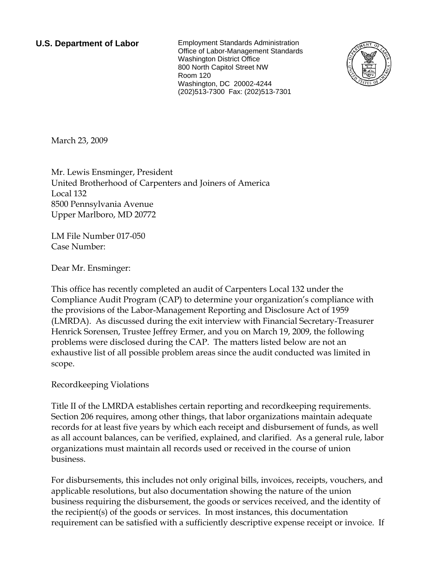**U.S. Department of Labor** Employment Standards Administration Office of Labor-Management Standards Washington District Office 800 North Capitol Street NW Room 120 Washington, DC 20002-4244 (202)513-7300 Fax: (202)513-7301



March 23, 2009

Mr. Lewis Ensminger, President United Brotherhood of Carpenters and Joiners of America Local 132 8500 Pennsylvania Avenue Upper Marlboro, MD 20772

LM File Number 017-050 Case Number:

Dear Mr. Ensminger:

This office has recently completed an audit of Carpenters Local 132 under the Compliance Audit Program (CAP) to determine your organization's compliance with the provisions of the Labor-Management Reporting and Disclosure Act of 1959 (LMRDA). As discussed during the exit interview with Financial Secretary-Treasurer Henrick Sorensen, Trustee Jeffrey Ermer, and you on March 19, 2009, the following problems were disclosed during the CAP. The matters listed below are not an exhaustive list of all possible problem areas since the audit conducted was limited in scope.

Recordkeeping Violations

Title II of the LMRDA establishes certain reporting and recordkeeping requirements. Section 206 requires, among other things, that labor organizations maintain adequate records for at least five years by which each receipt and disbursement of funds, as well as all account balances, can be verified, explained, and clarified. As a general rule, labor organizations must maintain all records used or received in the course of union business.

For disbursements, this includes not only original bills, invoices, receipts, vouchers, and applicable resolutions, but also documentation showing the nature of the union business requiring the disbursement, the goods or services received, and the identity of the recipient(s) of the goods or services. In most instances, this documentation requirement can be satisfied with a sufficiently descriptive expense receipt or invoice. If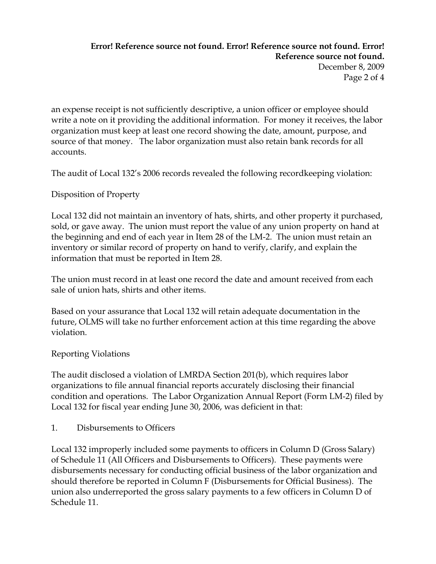# **Error! Reference source not found. Error! Reference source not found. Error! Reference source not found.** December 8, 2009 Page 2 of 4

an expense receipt is not sufficiently descriptive, a union officer or employee should write a note on it providing the additional information. For money it receives, the labor organization must keep at least one record showing the date, amount, purpose, and source of that money. The labor organization must also retain bank records for all accounts.

The audit of Local 132's 2006 records revealed the following recordkeeping violation:

Disposition of Property

Local 132 did not maintain an inventory of hats, shirts, and other property it purchased, sold, or gave away. The union must report the value of any union property on hand at the beginning and end of each year in Item 28 of the LM-2. The union must retain an inventory or similar record of property on hand to verify, clarify, and explain the information that must be reported in Item 28.

The union must record in at least one record the date and amount received from each sale of union hats, shirts and other items.

Based on your assurance that Local 132 will retain adequate documentation in the future, OLMS will take no further enforcement action at this time regarding the above violation.

### Reporting Violations

The audit disclosed a violation of LMRDA Section 201(b), which requires labor organizations to file annual financial reports accurately disclosing their financial condition and operations. The Labor Organization Annual Report (Form LM-2) filed by Local 132 for fiscal year ending June 30, 2006, was deficient in that:

1. Disbursements to Officers

Local 132 improperly included some payments to officers in Column D (Gross Salary) of Schedule 11 (All Officers and Disbursements to Officers). These payments were disbursements necessary for conducting official business of the labor organization and should therefore be reported in Column F (Disbursements for Official Business). The union also underreported the gross salary payments to a few officers in Column D of Schedule 11.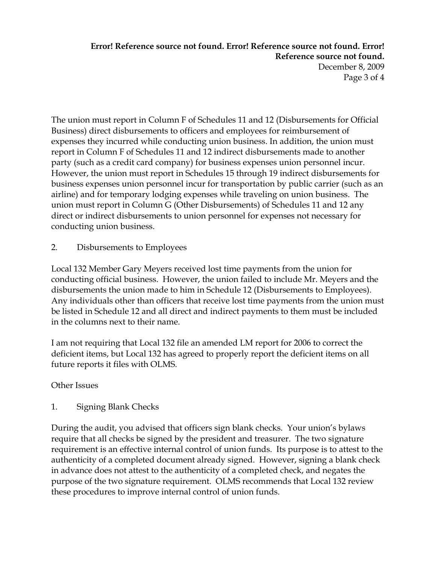# **Error! Reference source not found. Error! Reference source not found. Error! Reference source not found.** December 8, 2009 Page 3 of 4

The union must report in Column F of Schedules 11 and 12 (Disbursements for Official Business) direct disbursements to officers and employees for reimbursement of expenses they incurred while conducting union business. In addition, the union must report in Column F of Schedules 11 and 12 indirect disbursements made to another party (such as a credit card company) for business expenses union personnel incur. However, the union must report in Schedules 15 through 19 indirect disbursements for business expenses union personnel incur for transportation by public carrier (such as an airline) and for temporary lodging expenses while traveling on union business. The union must report in Column G (Other Disbursements) of Schedules 11 and 12 any direct or indirect disbursements to union personnel for expenses not necessary for conducting union business.

2. Disbursements to Employees

Local 132 Member Gary Meyers received lost time payments from the union for conducting official business. However, the union failed to include Mr. Meyers and the disbursements the union made to him in Schedule 12 (Disbursements to Employees). Any individuals other than officers that receive lost time payments from the union must be listed in Schedule 12 and all direct and indirect payments to them must be included in the columns next to their name.

I am not requiring that Local 132 file an amended LM report for 2006 to correct the deficient items, but Local 132 has agreed to properly report the deficient items on all future reports it files with OLMS.

### Other Issues

1. Signing Blank Checks

During the audit, you advised that officers sign blank checks. Your union's bylaws require that all checks be signed by the president and treasurer. The two signature requirement is an effective internal control of union funds. Its purpose is to attest to the authenticity of a completed document already signed. However, signing a blank check in advance does not attest to the authenticity of a completed check, and negates the purpose of the two signature requirement. OLMS recommends that Local 132 review these procedures to improve internal control of union funds.